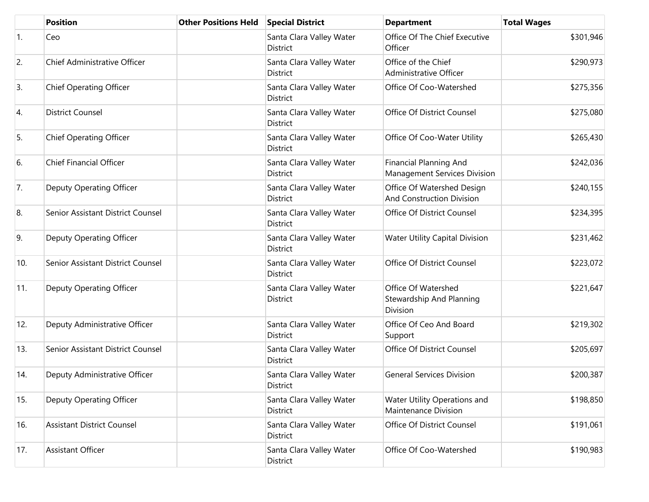|            | <b>Position</b>                   | <b>Other Positions Held</b> | <b>Special District</b>                     | <b>Department</b>                                              | <b>Total Wages</b> |
|------------|-----------------------------------|-----------------------------|---------------------------------------------|----------------------------------------------------------------|--------------------|
| $\vert$ 1. | Ceo                               |                             | Santa Clara Valley Water<br>District        | Office Of The Chief Executive<br>Officer                       | \$301,946          |
| 2.         | Chief Administrative Officer      |                             | Santa Clara Valley Water<br>District        | Office of the Chief<br>Administrative Officer                  | \$290,973          |
| 3.         | <b>Chief Operating Officer</b>    |                             | Santa Clara Valley Water<br>District        | Office Of Coo-Watershed                                        | \$275,356          |
| 4.         | <b>District Counsel</b>           |                             | Santa Clara Valley Water<br>District        | Office Of District Counsel                                     | \$275,080          |
| 5.         | <b>Chief Operating Officer</b>    |                             | Santa Clara Valley Water<br>District        | Office Of Coo-Water Utility                                    | \$265,430          |
| 6.         | <b>Chief Financial Officer</b>    |                             | Santa Clara Valley Water<br>District        | <b>Financial Planning And</b><br>Management Services Division  | \$242,036          |
| 7.         | Deputy Operating Officer          |                             | Santa Clara Valley Water<br><b>District</b> | Office Of Watershed Design<br><b>And Construction Division</b> | \$240,155          |
| 8.         | Senior Assistant District Counsel |                             | Santa Clara Valley Water<br><b>District</b> | Office Of District Counsel                                     | \$234,395          |
| 9.         | Deputy Operating Officer          |                             | Santa Clara Valley Water<br>District        | <b>Water Utility Capital Division</b>                          | \$231,462          |
| 10.        | Senior Assistant District Counsel |                             | Santa Clara Valley Water<br>District        | Office Of District Counsel                                     | \$223,072          |
| 11.        | Deputy Operating Officer          |                             | Santa Clara Valley Water<br>District        | Office Of Watershed<br>Stewardship And Planning<br>Division    | \$221,647          |
| 12.        | Deputy Administrative Officer     |                             | Santa Clara Valley Water<br><b>District</b> | Office Of Ceo And Board<br>Support                             | \$219,302          |
| 13.        | Senior Assistant District Counsel |                             | Santa Clara Valley Water<br>District        | Office Of District Counsel                                     | \$205,697          |
| 14.        | Deputy Administrative Officer     |                             | Santa Clara Valley Water<br>District        | <b>General Services Division</b>                               | \$200,387          |
| 15.        | Deputy Operating Officer          |                             | Santa Clara Valley Water<br>District        | Water Utility Operations and<br>Maintenance Division           | \$198,850          |
| 16.        | <b>Assistant District Counsel</b> |                             | Santa Clara Valley Water<br>District        | Office Of District Counsel                                     | \$191,061          |
| 17.        | <b>Assistant Officer</b>          |                             | Santa Clara Valley Water<br>District        | Office Of Coo-Watershed                                        | \$190,983          |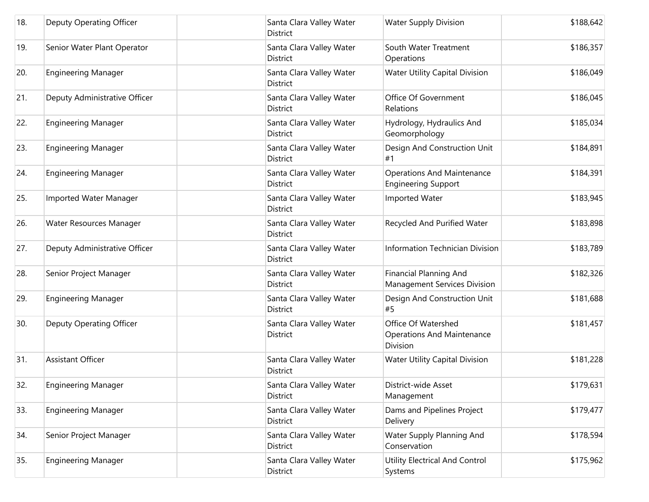| 18. | Deputy Operating Officer      | Santa Clara Valley Water<br><b>District</b> | <b>Water Supply Division</b>                                         | \$188,642 |
|-----|-------------------------------|---------------------------------------------|----------------------------------------------------------------------|-----------|
| 19. | Senior Water Plant Operator   | Santa Clara Valley Water<br><b>District</b> | South Water Treatment<br>Operations                                  | \$186,357 |
| 20. | <b>Engineering Manager</b>    | Santa Clara Valley Water<br>District        | <b>Water Utility Capital Division</b>                                | \$186,049 |
| 21. | Deputy Administrative Officer | Santa Clara Valley Water<br><b>District</b> | Office Of Government<br>Relations                                    | \$186,045 |
| 22. | <b>Engineering Manager</b>    | Santa Clara Valley Water<br><b>District</b> | Hydrology, Hydraulics And<br>Geomorphology                           | \$185,034 |
| 23. | <b>Engineering Manager</b>    | Santa Clara Valley Water<br>District        | Design And Construction Unit<br>#1                                   | \$184,891 |
| 24. | <b>Engineering Manager</b>    | Santa Clara Valley Water<br><b>District</b> | <b>Operations And Maintenance</b><br><b>Engineering Support</b>      | \$184,391 |
| 25. | Imported Water Manager        | Santa Clara Valley Water<br><b>District</b> | Imported Water                                                       | \$183,945 |
| 26. | Water Resources Manager       | Santa Clara Valley Water<br><b>District</b> | Recycled And Purified Water                                          | \$183,898 |
| 27. | Deputy Administrative Officer | Santa Clara Valley Water<br><b>District</b> | <b>Information Technician Division</b>                               | \$183,789 |
| 28. | Senior Project Manager        | Santa Clara Valley Water<br><b>District</b> | <b>Financial Planning And</b><br>Management Services Division        | \$182,326 |
| 29. | <b>Engineering Manager</b>    | Santa Clara Valley Water<br><b>District</b> | Design And Construction Unit<br>#5                                   | \$181,688 |
| 30. | Deputy Operating Officer      | Santa Clara Valley Water<br><b>District</b> | Office Of Watershed<br><b>Operations And Maintenance</b><br>Division | \$181,457 |
| 31. | <b>Assistant Officer</b>      | Santa Clara Valley Water<br><b>District</b> | <b>Water Utility Capital Division</b>                                | \$181,228 |
| 32. | <b>Engineering Manager</b>    | Santa Clara Valley Water<br><b>District</b> | District-wide Asset<br>Management                                    | \$179,631 |
| 33. | <b>Engineering Manager</b>    | Santa Clara Valley Water<br><b>District</b> | Dams and Pipelines Project<br>Delivery                               | \$179,477 |
| 34. | Senior Project Manager        | Santa Clara Valley Water<br>District        | Water Supply Planning And<br>Conservation                            | \$178,594 |
| 35. | <b>Engineering Manager</b>    | Santa Clara Valley Water<br>District        | Utility Electrical And Control<br>Systems                            | \$175,962 |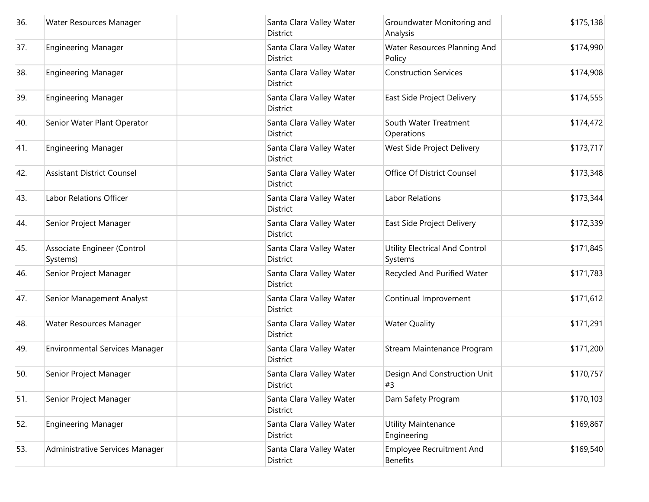| 36. | Water Resources Manager                 | Santa Clara Valley Water<br>District        | Groundwater Monitoring and<br>Analysis             | \$175,138 |
|-----|-----------------------------------------|---------------------------------------------|----------------------------------------------------|-----------|
| 37. | <b>Engineering Manager</b>              | Santa Clara Valley Water<br>District        | Water Resources Planning And<br>Policy             | \$174,990 |
| 38. | <b>Engineering Manager</b>              | Santa Clara Valley Water<br>District        | <b>Construction Services</b>                       | \$174,908 |
| 39. | <b>Engineering Manager</b>              | Santa Clara Valley Water<br>District        | East Side Project Delivery                         | \$174,555 |
| 40. | Senior Water Plant Operator             | Santa Clara Valley Water<br>District        | South Water Treatment<br>Operations                | \$174,472 |
| 41. | <b>Engineering Manager</b>              | Santa Clara Valley Water<br><b>District</b> | West Side Project Delivery                         | \$173,717 |
| 42. | <b>Assistant District Counsel</b>       | Santa Clara Valley Water<br><b>District</b> | Office Of District Counsel                         | \$173,348 |
| 43. | Labor Relations Officer                 | Santa Clara Valley Water<br><b>District</b> | Labor Relations                                    | \$173,344 |
| 44. | Senior Project Manager                  | Santa Clara Valley Water<br><b>District</b> | East Side Project Delivery                         | \$172,339 |
| 45. | Associate Engineer (Control<br>Systems) | Santa Clara Valley Water<br>District        | Utility Electrical And Control<br>Systems          | \$171,845 |
| 46. | Senior Project Manager                  | Santa Clara Valley Water<br><b>District</b> | Recycled And Purified Water                        | \$171,783 |
| 47. | Senior Management Analyst               | Santa Clara Valley Water<br>District        | Continual Improvement                              | \$171,612 |
| 48. | Water Resources Manager                 | Santa Clara Valley Water<br><b>District</b> | <b>Water Quality</b>                               | \$171,291 |
| 49. | <b>Environmental Services Manager</b>   | Santa Clara Valley Water<br><b>District</b> | Stream Maintenance Program                         | \$171,200 |
| 50. | Senior Project Manager                  | Santa Clara Valley Water<br>District        | Design And Construction Unit<br>#3                 | \$170,757 |
| 51. | Senior Project Manager                  | Santa Clara Valley Water<br>District        | Dam Safety Program                                 | \$170,103 |
| 52. | <b>Engineering Manager</b>              | Santa Clara Valley Water<br>District        | <b>Utility Maintenance</b><br>Engineering          | \$169,867 |
| 53. | Administrative Services Manager         | Santa Clara Valley Water<br>District        | <b>Employee Recruitment And</b><br><b>Benefits</b> | \$169,540 |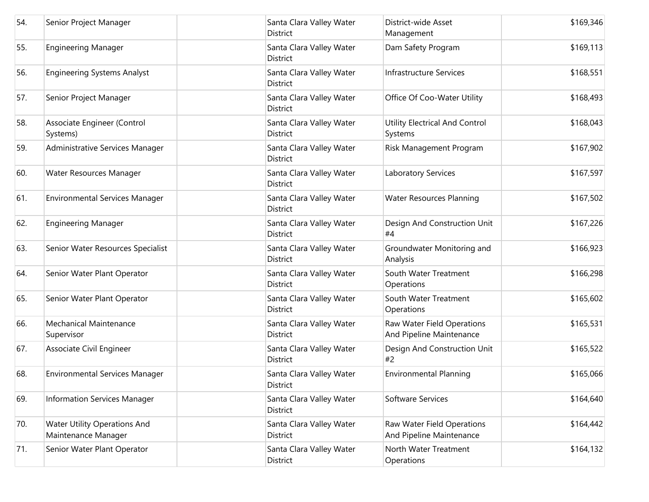| 54. | Senior Project Manager                                     | Santa Clara Valley Water<br><b>District</b> | District-wide Asset<br>Management                      | \$169,346 |
|-----|------------------------------------------------------------|---------------------------------------------|--------------------------------------------------------|-----------|
| 55. | <b>Engineering Manager</b>                                 | Santa Clara Valley Water<br>District        | Dam Safety Program                                     | \$169,113 |
| 56. | <b>Engineering Systems Analyst</b>                         | Santa Clara Valley Water<br><b>District</b> | <b>Infrastructure Services</b>                         | \$168,551 |
| 57. | Senior Project Manager                                     | Santa Clara Valley Water<br>District        | Office Of Coo-Water Utility                            | \$168,493 |
| 58. | Associate Engineer (Control<br>Systems)                    | Santa Clara Valley Water<br><b>District</b> | <b>Utility Electrical And Control</b><br>Systems       | \$168,043 |
| 59. | Administrative Services Manager                            | Santa Clara Valley Water<br><b>District</b> | Risk Management Program                                | \$167,902 |
| 60. | Water Resources Manager                                    | Santa Clara Valley Water<br><b>District</b> | Laboratory Services                                    | \$167,597 |
| 61. | <b>Environmental Services Manager</b>                      | Santa Clara Valley Water<br><b>District</b> | <b>Water Resources Planning</b>                        | \$167,502 |
| 62. | <b>Engineering Manager</b>                                 | Santa Clara Valley Water<br>District        | Design And Construction Unit<br>#4                     | \$167,226 |
| 63. | Senior Water Resources Specialist                          | Santa Clara Valley Water<br><b>District</b> | Groundwater Monitoring and<br>Analysis                 | \$166,923 |
| 64. | Senior Water Plant Operator                                | Santa Clara Valley Water<br>District        | South Water Treatment<br>Operations                    | \$166,298 |
| 65. | Senior Water Plant Operator                                | Santa Clara Valley Water<br>District        | South Water Treatment<br>Operations                    | \$165,602 |
| 66. | <b>Mechanical Maintenance</b><br>Supervisor                | Santa Clara Valley Water<br><b>District</b> | Raw Water Field Operations<br>And Pipeline Maintenance | \$165,531 |
| 67. | Associate Civil Engineer                                   | Santa Clara Valley Water<br>District        | Design And Construction Unit<br>#2                     | \$165,522 |
| 68. | <b>Environmental Services Manager</b>                      | Santa Clara Valley Water<br>District        | <b>Environmental Planning</b>                          | \$165,066 |
| 69. | <b>Information Services Manager</b>                        | Santa Clara Valley Water<br>District        | Software Services                                      | \$164,640 |
| 70. | <b>Water Utility Operations And</b><br>Maintenance Manager | Santa Clara Valley Water<br><b>District</b> | Raw Water Field Operations<br>And Pipeline Maintenance | \$164,442 |
| 71. | Senior Water Plant Operator                                | Santa Clara Valley Water<br>District        | North Water Treatment<br>Operations                    | \$164,132 |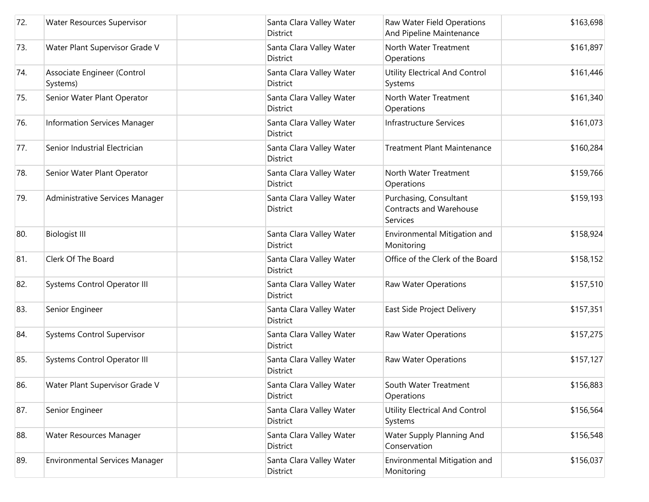| 72. | Water Resources Supervisor              | Santa Clara Valley Water<br>District        | Raw Water Field Operations<br>And Pipeline Maintenance               | \$163,698 |
|-----|-----------------------------------------|---------------------------------------------|----------------------------------------------------------------------|-----------|
| 73. | Water Plant Supervisor Grade V          | Santa Clara Valley Water<br>District        | North Water Treatment<br>Operations                                  | \$161,897 |
| 74. | Associate Engineer (Control<br>Systems) | Santa Clara Valley Water<br>District        | <b>Utility Electrical And Control</b><br>Systems                     | \$161,446 |
| 75. | Senior Water Plant Operator             | Santa Clara Valley Water<br>District        | North Water Treatment<br>Operations                                  | \$161,340 |
| 76. | Information Services Manager            | Santa Clara Valley Water<br><b>District</b> | <b>Infrastructure Services</b>                                       | \$161,073 |
| 77. | Senior Industrial Electrician           | Santa Clara Valley Water<br><b>District</b> | <b>Treatment Plant Maintenance</b>                                   | \$160,284 |
| 78. | Senior Water Plant Operator             | Santa Clara Valley Water<br><b>District</b> | North Water Treatment<br>Operations                                  | \$159,766 |
| 79. | Administrative Services Manager         | Santa Clara Valley Water<br><b>District</b> | Purchasing, Consultant<br><b>Contracts and Warehouse</b><br>Services | \$159,193 |
| 80. | <b>Biologist III</b>                    | Santa Clara Valley Water<br>District        | Environmental Mitigation and<br>Monitoring                           | \$158,924 |
| 81. | Clerk Of The Board                      | Santa Clara Valley Water<br><b>District</b> | Office of the Clerk of the Board                                     | \$158,152 |
| 82. | Systems Control Operator III            | Santa Clara Valley Water<br><b>District</b> | Raw Water Operations                                                 | \$157,510 |
| 83. | Senior Engineer                         | Santa Clara Valley Water<br>District        | East Side Project Delivery                                           | \$157,351 |
| 84. | <b>Systems Control Supervisor</b>       | Santa Clara Valley Water<br><b>District</b> | <b>Raw Water Operations</b>                                          | \$157,275 |
| 85. | Systems Control Operator III            | Santa Clara Valley Water<br>District        | <b>Raw Water Operations</b>                                          | \$157,127 |
| 86. | Water Plant Supervisor Grade V          | Santa Clara Valley Water<br><b>District</b> | South Water Treatment<br>Operations                                  | \$156,883 |
| 87. | Senior Engineer                         | Santa Clara Valley Water<br>District        | Utility Electrical And Control<br>Systems                            | \$156,564 |
| 88. | Water Resources Manager                 | Santa Clara Valley Water<br>District        | Water Supply Planning And<br>Conservation                            | \$156,548 |
| 89. | <b>Environmental Services Manager</b>   | Santa Clara Valley Water<br>District        | Environmental Mitigation and<br>Monitoring                           | \$156,037 |